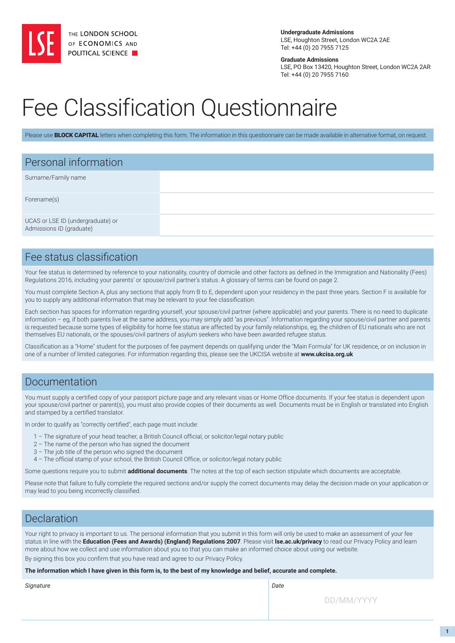

**Undergraduate Admissions** LSE, Houghton Street, London WC2A 2AE Tel: +44 (0) 20 7955 7125

**Graduate Admissions**

LSE, PO Box 13420, Houghton Street, London WC2A 2AR Tel: +44 (0) 20 7955 7160

# Fee Classification Questionnaire

Please use **BLOCK CAPITAL** letters when completing this form. The information in this questionnaire can be made available in alternative format, on request.

| Personal information                                          |  |  |
|---------------------------------------------------------------|--|--|
| Surname/Family name                                           |  |  |
| Forename(s)                                                   |  |  |
| UCAS or LSE ID (undergraduate) or<br>Admissions ID (graduate) |  |  |

### Fee status classification

Your fee status is determined by reference to your nationality, country of domicile and other factors as defined in the Immigration and Nationality (Fees) Regulations 2016, including your parents' or spouse/civil partner's status. A glossary of terms can be found on page 2.

You must complete Section A, plus any sections that apply from B to E, dependent upon your residency in the past three years. Section F is available for you to supply any additional information that may be relevant to your fee classification.

Each section has spaces for information regarding yourself, your spouse/civil partner (where applicable) and your parents. There is no need to duplicate information – eg, if both parents live at the same address, you may simply add "as previous". Information regarding your spouse/civil partner and parents is requested because some types of eligibility for home fee status are affected by your family relationships, eg, the children of EU nationals who are not themselves EU nationals, or the spouses/civil partners of asylum seekers who have been awarded refugee status.

Classification as a "Home" student for the purposes of fee payment depends on qualifying under the "Main Formula" for UK residence, or on inclusion in one of a number of limited categories. For information regarding this, please see the UKCISA website at **[www.ukcisa.org.uk](http://www.ukcisa.org.uk)**

#### Documentation

You must supply a certified copy of your passport picture page and any relevant visas or Home Office documents. If your fee status is dependent upon your spouse/civil partner or parent(s), you must also provide copies of their documents as well. Documents must be in English or translated into English and stamped by a certified translator.

In order to qualify as "correctly certified", each page must include:

- 1 The signature of your head teacher, a British Council official, or solicitor/legal notary public
- 2 The name of the person who has signed the document
- 3 The job title of the person who signed the document
- 4 The official stamp of your school, the British Council Office, or solicitor/legal notary public

Some questions require you to submit **additional documents**. The notes at the top of each section stipulate which documents are acceptable.

Please note that failure to fully complete the required sections and/or supply the correct documents may delay the decision made on your application or may lead to you being incorrectly classified.

### Declaration

Your right to privacy is important to us. The personal information that you submit in this form will only be used to make an assessment of your fee status in line with the **[Education \(Fees and Awards\) \(England\) Regulations 2007](http://www.legislation.gov.uk/uksi/2007/779/contents/made)**. Please visit **[lse.ac.uk/privacy](http://www.lse.ac.uk/lse-information/privacy-policy)** to read our Privacy Policy and learn more about how we collect and use information about you so that you can make an informed choice about using our website. By signing this box you confirm that you have read and agree to our Privacy Policy.

**The information which I have given in this form is, to the best of my knowledge and belief, accurate and complete.**

*Signature Date*

DD/MM/YYYY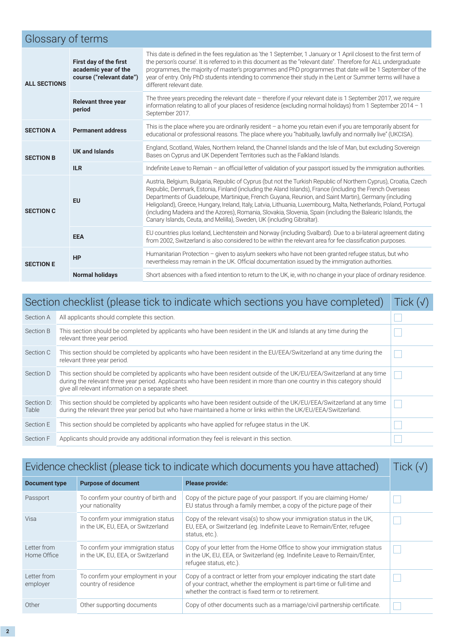|                     | Glossary of terms                                                          |                                                                                                                                                                                                                                                                                                                                                                                                                                                                                                                                                                                                                                                    |  |  |  |  |  |
|---------------------|----------------------------------------------------------------------------|----------------------------------------------------------------------------------------------------------------------------------------------------------------------------------------------------------------------------------------------------------------------------------------------------------------------------------------------------------------------------------------------------------------------------------------------------------------------------------------------------------------------------------------------------------------------------------------------------------------------------------------------------|--|--|--|--|--|
| <b>ALL SECTIONS</b> | First day of the first<br>academic year of the<br>course ("relevant date") | This date is defined in the fees regulation as 'the 1 September, 1 January or 1 April closest to the first term of<br>the person's course'. It is referred to in this document as the "relevant date". Therefore for ALL undergraduate<br>programmes, the majority of master's programmes and PhD programmes that date will be 1 September of the<br>year of entry. Only PhD students intending to commence their study in the Lent or Summer terms will have a<br>different relevant date.                                                                                                                                                        |  |  |  |  |  |
|                     | <b>Relevant three year</b><br>period<br>September 2017.                    | The three years preceding the relevant date - therefore if your relevant date is 1 September 2017, we require<br>information relating to all of your places of residence (excluding normal holidays) from 1 September 2014 - 1                                                                                                                                                                                                                                                                                                                                                                                                                     |  |  |  |  |  |
| <b>SECTION A</b>    | <b>Permanent address</b>                                                   | This is the place where you are ordinarily resident - a home you retain even if you are temporarily absent for<br>educational or professional reasons. The place where you "habitually, lawfully and normally live" (UKCISA).                                                                                                                                                                                                                                                                                                                                                                                                                      |  |  |  |  |  |
| <b>SECTION B</b>    | <b>UK and Islands</b>                                                      | England, Scotland, Wales, Northern Ireland, the Channel Islands and the Isle of Man, but excluding Sovereign<br>Bases on Cyprus and UK Dependent Territories such as the Falkland Islands.                                                                                                                                                                                                                                                                                                                                                                                                                                                         |  |  |  |  |  |
|                     | <b>ILR</b>                                                                 | Indefinite Leave to Remain - an official letter of validation of your passport issued by the immigration authorities.                                                                                                                                                                                                                                                                                                                                                                                                                                                                                                                              |  |  |  |  |  |
| <b>SECTION C</b>    | <b>EU</b>                                                                  | Austria, Belgium, Bulgaria, Republic of Cyprus (but not the Turkish Republic of Northern Cyprus), Croatia, Czech<br>Republic, Denmark, Estonia, Finland (including the Aland Islands), France (including the French Overseas<br>Departments of Guadeloupe, Martinique, French Guyana, Reunion, and Saint Martin), Germany (including<br>Heligoland), Greece, Hungary, Ireland, Italy, Latvia, Lithuania, Luxembourg, Malta, Netherlands, Poland, Portugal<br>(including Madeira and the Azores), Romania, Slovakia, Slovenia, Spain (including the Balearic Islands, the<br>Canary Islands, Ceuta, and Melilla), Sweden, UK (including Gibraltar). |  |  |  |  |  |
|                     | <b>EEA</b>                                                                 | EU countries plus Iceland, Liechtenstein and Norway (including Svalbard). Due to a bi-lateral agreement dating<br>from 2002, Switzerland is also considered to be within the relevant area for fee classification purposes.                                                                                                                                                                                                                                                                                                                                                                                                                        |  |  |  |  |  |
| <b>SECTION E</b>    | <b>HP</b>                                                                  | Humanitarian Protection - given to asylum seekers who have not been granted refugee status, but who<br>nevertheless may remain in the UK. Official documentation issued by the immigration authorities.                                                                                                                                                                                                                                                                                                                                                                                                                                            |  |  |  |  |  |
|                     | <b>Normal holidays</b>                                                     | Short absences with a fixed intention to return to the UK, ie, with no change in your place of ordinary residence.                                                                                                                                                                                                                                                                                                                                                                                                                                                                                                                                 |  |  |  |  |  |

|                     | Section checklist (please tick to indicate which sections you have completed)                                                                                                                                                                                                                             | Tick $(\sqrt{})$ |
|---------------------|-----------------------------------------------------------------------------------------------------------------------------------------------------------------------------------------------------------------------------------------------------------------------------------------------------------|------------------|
| Section A           | All applicants should complete this section.                                                                                                                                                                                                                                                              |                  |
| Section B           | This section should be completed by applicants who have been resident in the UK and Islands at any time during the<br>relevant three year period.                                                                                                                                                         |                  |
| Section C           | This section should be completed by applicants who have been resident in the EU/EEA/Switzerland at any time during the<br>relevant three year period.                                                                                                                                                     |                  |
| Section D           | This section should be completed by applicants who have been resident outside of the UK/EU/EEA/Switzerland at any time<br>during the relevant three year period. Applicants who have been resident in more than one country in this category should<br>give all relevant information on a separate sheet. |                  |
| Section D:<br>Table | This section should be completed by applicants who have been resident outside of the UK/EU/EEA/Switzerland at any time<br>during the relevant three year period but who have maintained a home or links within the UK/EU/EEA/Switzerland.                                                                 |                  |
| Section E           | This section should be completed by applicants who have applied for refugee status in the UK.                                                                                                                                                                                                             |                  |
| Section F           | Applicants should provide any additional information they feel is relevant in this section.                                                                                                                                                                                                               |                  |

| Evidence checklist (please tick to indicate which documents you have attached) |                                                                          |                                                                                                                                                                                                             |  |
|--------------------------------------------------------------------------------|--------------------------------------------------------------------------|-------------------------------------------------------------------------------------------------------------------------------------------------------------------------------------------------------------|--|
| <b>Document type</b>                                                           | <b>Purpose of document</b>                                               | <b>Please provide:</b>                                                                                                                                                                                      |  |
| Passport                                                                       | To confirm your country of birth and<br>your nationality                 | Copy of the picture page of your passport. If you are claiming Home/<br>EU status through a family member, a copy of the picture page of their                                                              |  |
| Visa                                                                           | To confirm your immigration status<br>in the UK, EU, EEA, or Switzerland | Copy of the relevant visa(s) to show your immigration status in the UK.<br>EU, EEA, or Switzerland (eg. Indefinite Leave to Remain/Enter, refugee<br>status, etc.).                                         |  |
| Letter from<br>Home Office                                                     | To confirm your immigration status<br>in the UK, EU, EEA, or Switzerland | Copy of your letter from the Home Office to show your immigration status<br>in the UK, EU, EEA, or Switzerland (eg. Indefinite Leave to Remain/Enter,<br>refugee status, etc.).                             |  |
| Letter from<br>employer                                                        | To confirm your employment in your<br>country of residence               | Copy of a contract or letter from your employer indicating the start date<br>of your contract, whether the employment is part-time or full-time and<br>whether the contract is fixed term or to retirement. |  |
| Other                                                                          | Other supporting documents                                               | Copy of other documents such as a marriage/civil partnership certificate.                                                                                                                                   |  |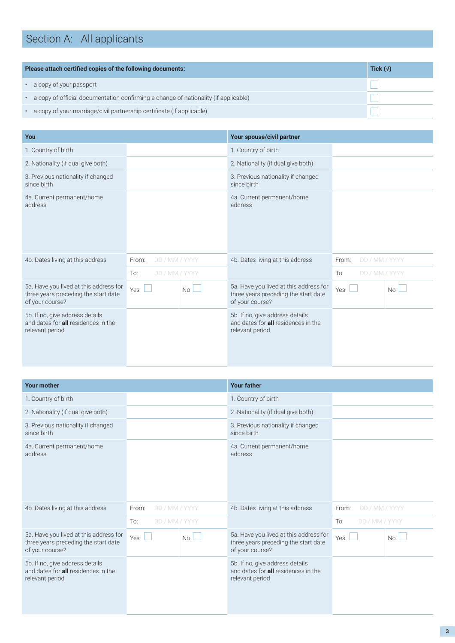# Section A: All applicants

| Please attach certified copies of the following documents:                            | Tick $(\sqrt{)}$ |
|---------------------------------------------------------------------------------------|------------------|
| a copy of your passport                                                               |                  |
| • a copy of official documentation confirming a change of nationality (if applicable) |                  |
| a copy of your marriage/civil partnership certificate (if applicable)                 |                  |

| You                                                                                               |                         |    | Your spouse/civil partner                                                                         |                         |           |
|---------------------------------------------------------------------------------------------------|-------------------------|----|---------------------------------------------------------------------------------------------------|-------------------------|-----------|
| 1. Country of birth                                                                               |                         |    | 1. Country of birth                                                                               |                         |           |
| 2. Nationality (if dual give both)                                                                |                         |    | 2. Nationality (if dual give both)                                                                |                         |           |
| 3. Previous nationality if changed<br>since birth                                                 |                         |    | 3. Previous nationality if changed<br>since birth                                                 |                         |           |
| 4a. Current permanent/home<br>address                                                             |                         |    | 4a. Current permanent/home<br>address                                                             |                         |           |
| 4b. Dates living at this address                                                                  | DD / MM / YYYY<br>From: |    | 4b. Dates living at this address                                                                  | DD / MM / YYYY<br>From: |           |
|                                                                                                   | To:<br>DD / MM / YYYY   |    |                                                                                                   | To:<br>DD / MM / YYYY   |           |
| 5a. Have you lived at this address for<br>three years preceding the start date<br>of your course? | Yes                     | No | 5a. Have you lived at this address for<br>three years preceding the start date<br>of your course? | Yes                     | <b>No</b> |
| 5b. If no, give address details<br>and dates for <b>all</b> residences in the<br>relevant period  |                         |    | 5b. If no, give address details<br>and dates for <b>all</b> residences in the<br>relevant period  |                         |           |

| <b>Your mother</b>                                                                                |                                     |    | <b>Your father</b>                                                                                |                         |    |
|---------------------------------------------------------------------------------------------------|-------------------------------------|----|---------------------------------------------------------------------------------------------------|-------------------------|----|
| 1. Country of birth                                                                               |                                     |    | 1. Country of birth                                                                               |                         |    |
| 2. Nationality (if dual give both)                                                                |                                     |    | 2. Nationality (if dual give both)                                                                |                         |    |
| 3. Previous nationality if changed<br>since birth                                                 |                                     |    | 3. Previous nationality if changed<br>since birth                                                 |                         |    |
| 4a. Current permanent/home<br>address                                                             |                                     |    | 4a. Current permanent/home<br>address                                                             |                         |    |
| 4b. Dates living at this address                                                                  | DD / MM / YYYY<br>From:             |    | 4b. Dates living at this address                                                                  | DD / MM / YYYY<br>From: |    |
|                                                                                                   | DD / MM / YYYY<br>$\overline{1}$ o: |    |                                                                                                   | To:<br>DD / MM / YYYY   |    |
| 5a. Have you lived at this address for<br>three years preceding the start date<br>of your course? | Yes                                 | No | 5a. Have you lived at this address for<br>three years preceding the start date<br>of your course? | Yes                     | No |
| 5b. If no, give address details<br>and dates for <b>all</b> residences in the<br>relevant period  |                                     |    | 5b. If no, give address details<br>and dates for <b>all</b> residences in the<br>relevant period  |                         |    |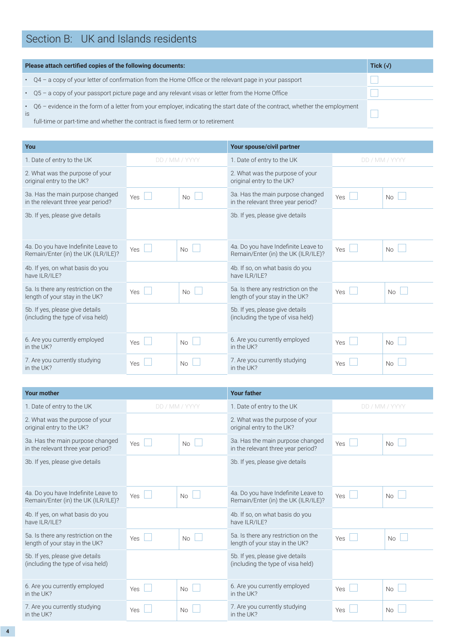### Section B: UK and Islands residents

| Please attach certified copies of the following documents: | Tick $(\sqrt{)}$                                                                                                              |  |
|------------------------------------------------------------|-------------------------------------------------------------------------------------------------------------------------------|--|
|                                                            | $\cdot$ Q4 – a copy of your letter of confirmation from the Home Office or the relevant page in your passport                 |  |
|                                                            | • Q5 - a copy of your passport picture page and any relevant visas or letter from the Home Office                             |  |
| is                                                         | • Q6 - evidence in the form of a letter from your employer, indicating the start date of the contract, whether the employment |  |
|                                                            | full-time or part-time and whether the contract is fixed term or to retirement                                                |  |

| You                                                                        |                       |                | Your spouse/civil partner                                                  |            |                |
|----------------------------------------------------------------------------|-----------------------|----------------|----------------------------------------------------------------------------|------------|----------------|
| 1. Date of entry to the UK                                                 |                       | DD / MM / YYYY | 1. Date of entry to the UK                                                 |            | DD / MM / YYYY |
| 2. What was the purpose of your<br>original entry to the UK?               |                       |                | 2. What was the purpose of your<br>original entry to the UK?               |            |                |
| 3a. Has the main purpose changed<br>in the relevant three year period?     | Yes<br>$\mathbb{R}^n$ | No             | 3a. Has the main purpose changed<br>in the relevant three year period?     | Yes        | No             |
| 3b. If yes, please give details                                            |                       |                | 3b. If yes, please give details                                            |            |                |
| 4a. Do you have Indefinite Leave to<br>Remain/Enter (in) the UK (ILR/ILE)? | Yes $\Box$            | <b>No</b>      | 4a. Do you have Indefinite Leave to<br>Remain/Enter (in) the UK (ILR/ILE)? | Yes<br>e e | No             |
| 4b. If yes, on what basis do you<br>have ILR/ILE?                          |                       |                | 4b. If so, on what basis do you<br>have ILR/ILE?                           |            |                |
| 5a. Is there any restriction on the<br>length of your stay in the UK?      | Yes<br>I.             | No             | 5a. Is there any restriction on the<br>length of your stay in the UK?      | Yes        | n.<br>No       |
| 5b. If yes, please give details<br>(including the type of visa held)       |                       |                | 5b. If yes, please give details<br>(including the type of visa held)       |            |                |
| 6. Are you currently employed<br>in the UK?                                | Yes                   | <b>No</b>      | 6. Are you currently employed<br>in the UK?                                | Yes        | No             |
| 7. Are you currently studying<br>in the UK?                                | Yes                   | <b>No</b>      | 7. Are you currently studying<br>in the UK?                                | Yes        | No             |

| <b>Your mother</b>                                                         |     |                | <b>Your father</b>                                                         |           |                 |
|----------------------------------------------------------------------------|-----|----------------|----------------------------------------------------------------------------|-----------|-----------------|
| 1. Date of entry to the UK                                                 |     | DD / MM / YYYY | 1. Date of entry to the UK                                                 |           | DD / MM / YYYY  |
| 2. What was the purpose of your<br>original entry to the UK?               |     |                | 2. What was the purpose of your<br>original entry to the UK?               |           |                 |
| 3a. Has the main purpose changed<br>in the relevant three year period?     | Yes | No             | 3a. Has the main purpose changed<br>in the relevant three year period?     | Yes       | No              |
| 3b. If yes, please give details                                            |     |                | 3b. If yes, please give details                                            |           |                 |
| 4a. Do you have Indefinite Leave to<br>Remain/Enter (in) the UK (ILR/ILE)? | Yes | No             | 4a. Do you have Indefinite Leave to<br>Remain/Enter (in) the UK (ILR/ILE)? | L.<br>Yes | No              |
| 4b. If yes, on what basis do you<br>have ILR/ILE?                          |     |                | 4b. If so, on what basis do you<br>have ILR/ILE?                           |           |                 |
| 5a. Is there any restriction on the<br>length of your stay in the UK?      | Yes | <b>No</b>      | 5a. Is there any restriction on the<br>length of your stay in the UK?      | Yes       | L.<br><b>No</b> |
| 5b. If yes, please give details<br>(including the type of visa held)       |     |                | 5b. If yes, please give details<br>(including the type of visa held)       |           |                 |
| 6. Are you currently employed<br>in the UK?                                | Yes | $No$ $\Box$    | 6. Are you currently employed<br>in the UK?                                | Yes       | No              |
| 7. Are you currently studying<br>in the UK?                                | Yes | No             | 7. Are you currently studying<br>in the UK?                                | Yes       | <b>No</b>       |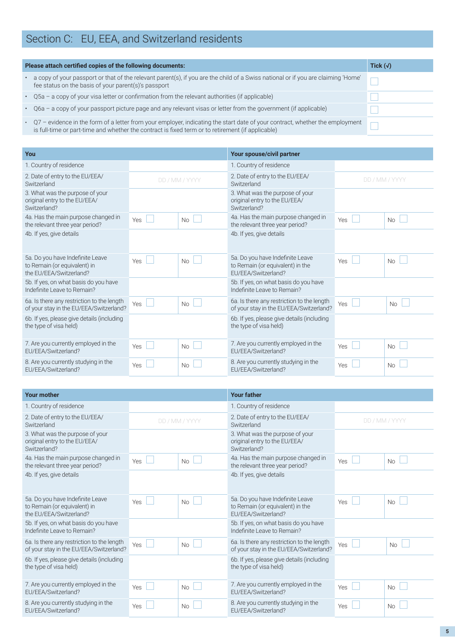## Section C: EU, EEA, and Switzerland residents

| Please attach certified copies of the following documents:                                                                                                                                                                          | Tick $(\sqrt{)}$ |
|-------------------------------------------------------------------------------------------------------------------------------------------------------------------------------------------------------------------------------------|------------------|
| a copy of your passport or that of the relevant parent(s), if you are the child of a Swiss national or if you are claiming 'Home'<br>fee status on the basis of your parent(s)'s passport                                           |                  |
| • Q5a - a copy of your visa letter or confirmation from the relevant authorities (if applicable)                                                                                                                                    |                  |
| · Q6a - a copy of your passport picture page and any relevant visas or letter from the government (if applicable)                                                                                                                   |                  |
| • Q7 – evidence in the form of a letter from your employer, indicating the start date of your contract, whether the employment<br>is full-time or part-time and whether the contract is fixed term or to retirement (if applicable) |                  |

| You                                                                                         |            |                | Your spouse/civil partner                                                                   |                |           |
|---------------------------------------------------------------------------------------------|------------|----------------|---------------------------------------------------------------------------------------------|----------------|-----------|
| 1. Country of residence                                                                     |            |                | 1. Country of residence                                                                     |                |           |
| 2. Date of entry to the EU/EEA/<br>Switzerland                                              |            | DD / MM / YYYY | 2. Date of entry to the EU/EEA/<br>Switzerland                                              | DD / MM / YYYY |           |
| 3. What was the purpose of your<br>original entry to the EU/EEA/<br>Switzerland?            |            |                | 3. What was the purpose of your<br>original entry to the EU/EEA/<br>Switzerland?            |                |           |
| 4a. Has the main purpose changed in<br>the relevant three year period?                      | <b>Yes</b> | No             | 4a. Has the main purpose changed in<br>the relevant three year period?                      | Yes            | No        |
| 4b. If yes, give details                                                                    |            |                | 4b. If yes, give details                                                                    |                |           |
| 5a. Do you have Indefinite Leave<br>to Remain (or equivalent) in<br>the EU/EEA/Switzerland? | Yes        | <b>No</b>      | 5a. Do you have Indefinite Leave<br>to Remain (or equivalent) in the<br>EU/EEA/Switzerland? | Yes            | No        |
| 5b. If yes, on what basis do you have<br>Indefinite Leave to Remain?                        |            |                | 5b. If yes, on what basis do you have<br>Indefinite Leave to Remain?                        |                |           |
| 6a. Is there any restriction to the length<br>of your stay in the EU/EEA/Switzerland?       | Yes        | <b>No</b>      | 6a. Is there any restriction to the length<br>of your stay in the EU/EEA/Switzerland?       | Yes l          | <b>No</b> |
| 6b. If yes, please give details (including<br>the type of visa held)                        |            |                | 6b. If yes, please give details (including<br>the type of visa held)                        |                |           |
| 7. Are you currently employed in the<br>EU/EEA/Switzerland?                                 | <b>Yes</b> | No             | 7. Are you currently employed in the<br>EU/EEA/Switzerland?                                 | <b>Yes</b>     | No        |
| 8. Are you currently studying in the<br>EU/EEA/Switzerland?                                 | <b>Yes</b> | <b>No</b>      | 8. Are you currently studying in the<br>EU/EEA/Switzerland?                                 | Yes            | No        |

| <b>Your mother</b>                                                                          |     |                | <b>Your father</b>                                                                          |                |           |
|---------------------------------------------------------------------------------------------|-----|----------------|---------------------------------------------------------------------------------------------|----------------|-----------|
| 1. Country of residence                                                                     |     |                | 1. Country of residence                                                                     |                |           |
| 2. Date of entry to the EU/EEA/<br>Switzerland                                              |     | DD / MM / YYYY | 2. Date of entry to the EU/EEA/<br>Switzerland                                              | DD / MM / YYYY |           |
| 3. What was the purpose of your<br>original entry to the EU/EEA/<br>Switzerland?            |     |                | 3. What was the purpose of your<br>original entry to the EU/EEA/<br>Switzerland?            |                |           |
| 4a. Has the main purpose changed in<br>the relevant three year period?                      | Yes | No             | 4a. Has the main purpose changed in<br>the relevant three year period?                      | Yes<br>L.      | <b>No</b> |
| 4b. If yes, give details                                                                    |     |                | 4b. If yes, give details                                                                    |                |           |
| 5a. Do you have Indefinite Leave<br>to Remain (or equivalent) in<br>the EU/EEA/Switzerland? | Yes | <b>No</b>      | 5a. Do you have Indefinite Leave<br>to Remain (or equivalent) in the<br>FU/FFA/Switzerland? | <b>Yes</b>     | <b>No</b> |
| 5b. If yes, on what basis do you have<br>Indefinite Leave to Remain?                        |     |                | 5b. If yes, on what basis do you have<br>Indefinite Leave to Remain?                        |                |           |
| 6a. Is there any restriction to the length<br>of your stay in the EU/EEA/Switzerland?       | Yes | <b>No</b>      | 6a. Is there any restriction to the length<br>of your stay in the EU/EEA/Switzerland?       | Yes            | <b>No</b> |
| 6b. If yes, please give details (including<br>the type of visa held)                        |     |                | 6b. If yes, please give details (including<br>the type of visa held)                        |                |           |
| 7. Are you currently employed in the<br>EU/EEA/Switzerland?                                 | Yes | <b>No</b>      | 7. Are you currently employed in the<br>EU/EEA/Switzerland?                                 | <b>Yes</b>     | No        |
| 8. Are you currently studying in the<br>EU/EEA/Switzerland?                                 | Yes | No             | 8. Are you currently studying in the<br>EU/EEA/Switzerland?                                 | Yes            | <b>No</b> |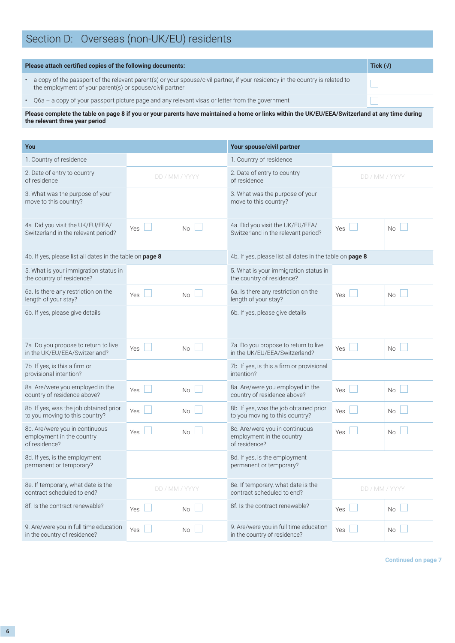|  | Section D: Overseas (non-UK/EU) residents |
|--|-------------------------------------------|
|--|-------------------------------------------|

| Please attach certified copies of the following documents: | Tick $(\sqrt)$                                                                                                                                                                            |  |
|------------------------------------------------------------|-------------------------------------------------------------------------------------------------------------------------------------------------------------------------------------------|--|
|                                                            | a copy of the passport of the relevant parent(s) or your spouse/civil partner, if your residency in the country is related to<br>the employment of your parent(s) or spouse/civil partner |  |
|                                                            | • Q6a – a copy of your passport picture page and any relevant visas or letter from the government                                                                                         |  |

**Please complete the table on page 8 if you or your parents have maintained a home or links within the UK/EU/EEA/Switzerland at any time during the relevant three year period**

| You                                                                          |                | Your spouse/civil partner |                                                                              |                |           |
|------------------------------------------------------------------------------|----------------|---------------------------|------------------------------------------------------------------------------|----------------|-----------|
| 1. Country of residence                                                      |                |                           | 1. Country of residence                                                      |                |           |
| 2. Date of entry to country<br>of residence                                  | DD / MM / YYYY |                           | 2. Date of entry to country<br>of residence                                  | DD / MM / YYYY |           |
| 3. What was the purpose of your<br>move to this country?                     |                |                           | 3. What was the purpose of your<br>move to this country?                     |                |           |
| 4a. Did you visit the UK/EU/EEA/<br>Switzerland in the relevant period?      | Yes            | <b>No</b>                 | 4a. Did you visit the UK/EU/EEA/<br>Switzerland in the relevant period?      | Yes            | <b>No</b> |
| 4b. If yes, please list all dates in the table on page 8                     |                |                           | 4b. If yes, please list all dates in the table on page 8                     |                |           |
| 5. What is your immigration status in<br>the country of residence?           |                |                           | 5. What is your immigration status in<br>the country of residence?           |                |           |
| 6a. Is there any restriction on the<br>length of your stay?                  | Yes            | <b>No</b>                 | 6a. Is there any restriction on the<br>length of your stay?                  | Yes            | <b>No</b> |
| 6b. If yes, please give details                                              |                |                           | 6b. If yes, please give details                                              |                |           |
| 7a. Do you propose to return to live<br>in the UK/EU/EEA/Switzerland?        | Yes            | <b>No</b>                 | 7a. Do you propose to return to live<br>in the UK/EU/EEA/Switzerland?        | <b>Yes</b>     | <b>No</b> |
| 7b. If yes, is this a firm or<br>provisional intention?                      |                |                           | 7b. If yes, is this a firm or provisional<br>intention?                      |                |           |
| 8a. Are/were you employed in the<br>country of residence above?              | Yes            | <b>No</b>                 | 8a. Are/were you employed in the<br>country of residence above?              | Yes            | <b>No</b> |
| 8b. If yes, was the job obtained prior<br>to you moving to this country?     | Yes            | $\rm No$                  | 8b. If yes, was the job obtained prior<br>to you moving to this country?     | Yes            | <b>No</b> |
| 8c. Are/were you in continuous<br>employment in the country<br>of residence? | <b>Yes</b>     | <b>No</b>                 | 8c. Are/were you in continuous<br>employment in the country<br>of residence? | Yes            | <b>No</b> |
| 8d. If yes, is the employment<br>permanent or temporary?                     |                |                           | 8d. If yes, is the employment<br>permanent or temporary?                     |                |           |
| 8e. If temporary, what date is the<br>contract scheduled to end?             | DD / MM / YYYY |                           | 8e. If temporary, what date is the<br>contract scheduled to end?             | DD / MM / YYYY |           |
| 8f. Is the contract renewable?                                               | <b>Yes</b>     | <b>No</b>                 | 8f. Is the contract renewable?                                               | Yes            | No.       |
| 9. Are/were you in full-time education<br>in the country of residence?       | Yes            | No                        | 9. Are/were you in full-time education<br>in the country of residence?       | Yes            | <b>No</b> |

**Continued on page 7**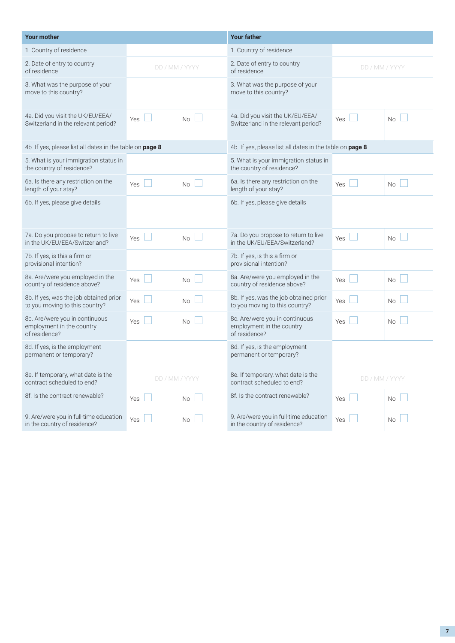| <b>Your mother</b>                                                           |                | <b>Your father</b> |                                                                              |                |           |
|------------------------------------------------------------------------------|----------------|--------------------|------------------------------------------------------------------------------|----------------|-----------|
| 1. Country of residence                                                      |                |                    | 1. Country of residence                                                      |                |           |
| 2. Date of entry to country<br>of residence                                  | DD / MM / YYYY |                    | 2. Date of entry to country<br>of residence                                  | DD / MM / YYYY |           |
| 3. What was the purpose of your<br>move to this country?                     |                |                    | 3. What was the purpose of your<br>move to this country?                     |                |           |
| 4a. Did you visit the UK/EU/EEA/<br>Switzerland in the relevant period?      | <b>Yes</b>     | No                 | 4a. Did you visit the UK/EU/EEA/<br>Switzerland in the relevant period?      | <b>Yes</b>     | <b>No</b> |
| 4b. If yes, please list all dates in the table on page 8                     |                |                    | 4b. If yes, please list all dates in the table on page 8                     |                |           |
| 5. What is your immigration status in<br>the country of residence?           |                |                    | 5. What is your immigration status in<br>the country of residence?           |                |           |
| 6a. Is there any restriction on the<br>length of your stay?                  | Yes            | <b>No</b>          | 6a. Is there any restriction on the<br>length of your stay?                  | Yes            | <b>No</b> |
| 6b. If yes, please give details                                              |                |                    | 6b. If yes, please give details                                              |                |           |
| 7a. Do you propose to return to live<br>in the UK/EU/EEA/Switzerland?        | <b>Yes</b>     | No                 | 7a. Do you propose to return to live<br>in the UK/EU/EEA/Switzerland?        | <b>Yes</b>     | <b>No</b> |
| 7b. If yes, is this a firm or<br>provisional intention?                      |                |                    | 7b. If yes, is this a firm or<br>provisional intention?                      |                |           |
| 8a. Are/were you employed in the<br>country of residence above?              | Yes            | <b>No</b>          | 8a. Are/were you employed in the<br>country of residence above?              | Yes            | <b>No</b> |
| 8b. If yes, was the job obtained prior<br>to you moving to this country?     | Yes            | <b>No</b>          | 8b. If yes, was the job obtained prior<br>to you moving to this country?     | Yes            | <b>No</b> |
| 8c. Are/were you in continuous<br>employment in the country<br>of residence? | Yes            | <b>No</b>          | 8c. Are/were you in continuous<br>employment in the country<br>of residence? | Yes            | <b>No</b> |
| 8d. If yes, is the employment<br>permanent or temporary?                     |                |                    | 8d. If yes, is the employment<br>permanent or temporary?                     |                |           |
| 8e. If temporary, what date is the<br>contract scheduled to end?             | DD / MM / YYYY |                    | 8e. If temporary, what date is the<br>contract scheduled to end?             | DD / MM / YYYY |           |
| 8f. Is the contract renewable?                                               | Yes            | <b>No</b>          | 8f. Is the contract renewable?                                               | Yes            | <b>No</b> |
| 9. Are/were you in full-time education<br>in the country of residence?       | Yes            | No.                | 9. Are/were you in full-time education<br>in the country of residence?       | Yes            | <b>No</b> |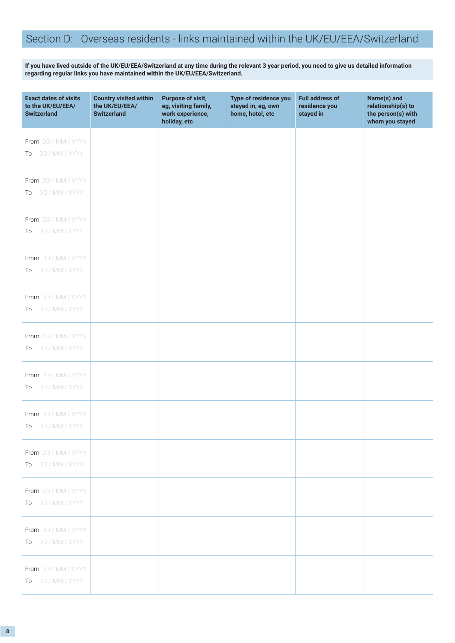### Section D: Overseas residents - links maintained within the UK/EU/EEA/Switzerland

**If you have lived outside of the UK/EU/EEA/Switzerland at any time during the relevant 3 year period, you need to give us detailed information regarding regular links you have maintained within the UK/EU/EEA/Switzerland.**

| <b>Exact dates of visits</b><br>to the UK/EU/EEA/<br><b>Switzerland</b> | <b>Country visited within</b><br>the UK/EU/EEA/<br><b>Switzerland</b> | <b>Purpose of visit,</b><br>eg, visiting family,<br>work experience,<br>holiday, etc | Type of residence you<br>stayed in, eg, own<br>home, hotel, etc | <b>Full address of</b><br>residence you<br>stayed in | Name(s) and<br>relationship(s) to<br>the person(s) with<br>whom you stayed |
|-------------------------------------------------------------------------|-----------------------------------------------------------------------|--------------------------------------------------------------------------------------|-----------------------------------------------------------------|------------------------------------------------------|----------------------------------------------------------------------------|
| From DD / MM / YYYY<br>To DD / MM / YYYY                                |                                                                       |                                                                                      |                                                                 |                                                      |                                                                            |
| From DD / MM / YYYY<br>To DD / MM / YYYY                                |                                                                       |                                                                                      |                                                                 |                                                      |                                                                            |
| From DD / MM / YYYY<br>To DD / MM / YYYY                                |                                                                       |                                                                                      |                                                                 |                                                      |                                                                            |
| From DD / MM / YYYY<br>To DD / MM / YYYY                                |                                                                       |                                                                                      |                                                                 |                                                      |                                                                            |
| From DD / MM / YYYY<br>To DD / MM / YYYY                                |                                                                       |                                                                                      |                                                                 |                                                      |                                                                            |
| From DD / MM / YYYY<br>To DD / MM / YYYY                                |                                                                       |                                                                                      |                                                                 |                                                      |                                                                            |
| From DD / MM / YYYY<br>To DD / MM / YYYY                                |                                                                       |                                                                                      |                                                                 |                                                      |                                                                            |
| From DD / MM / YYYY<br>To DD / MM / YYYY                                |                                                                       |                                                                                      |                                                                 |                                                      |                                                                            |
| From DD / MM / YYYY<br>To DD / MM / YYYY                                |                                                                       |                                                                                      |                                                                 |                                                      |                                                                            |
| From DD / MM / YYYY<br>To DD / MM / YYYY                                |                                                                       |                                                                                      |                                                                 |                                                      |                                                                            |
| From DD / MM / YYYY<br>To DD / MM / YYYY                                |                                                                       |                                                                                      |                                                                 |                                                      |                                                                            |
| From DD / MM / YYYY<br>To DD / MM / YYYY                                |                                                                       |                                                                                      |                                                                 |                                                      |                                                                            |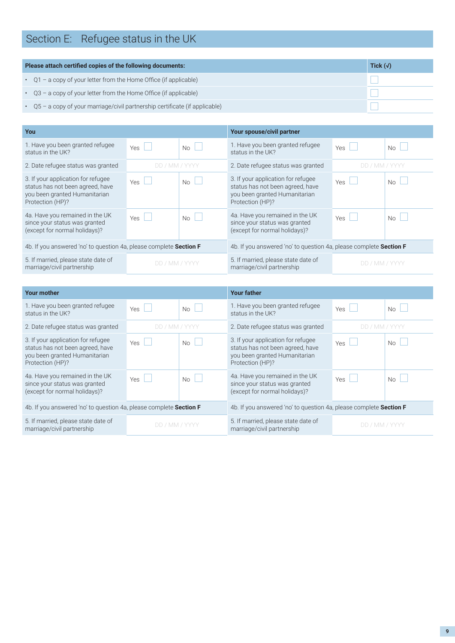# Section E: Refugee status in the UK

| Please attach certified copies of the following documents:<br>Tick $(\sqrt{)}$     |  |  |  |  |
|------------------------------------------------------------------------------------|--|--|--|--|
| $\cdot$ Q1 – a copy of your letter from the Home Office (if applicable)            |  |  |  |  |
| $\cdot$ Q3 – a copy of your letter from the Home Office (if applicable)            |  |  |  |  |
| $\cdot$ Q5 – a copy of your marriage/civil partnership certificate (if applicable) |  |  |  |  |

| You                                                                                                                         |                |                                                                    | Your spouse/civil partner                                                                                                   |                |                      |
|-----------------------------------------------------------------------------------------------------------------------------|----------------|--------------------------------------------------------------------|-----------------------------------------------------------------------------------------------------------------------------|----------------|----------------------|
| 1. Have you been granted refugee<br>status in the UK?                                                                       | Yes            | $N_{\Omega}$                                                       | 1. Have you been granted refugee<br>status in the UK?                                                                       | Yes            | $No \vdash$          |
| 2. Date refugee status was granted                                                                                          | DD / MM / YYYY |                                                                    | 2. Date refugee status was granted                                                                                          | DD / MM / YYYY |                      |
| 3. If your application for refugee<br>status has not been agreed, have<br>you been granted Humanitarian<br>Protection (HP)? | <b>Yes</b>     | No                                                                 | 3. If your application for refugee<br>status has not been agreed, have<br>you been granted Humanitarian<br>Protection (HP)? | Yes            | No<br>$\mathbb{R}^n$ |
| 4a. Have you remained in the UK<br>since your status was granted<br>(except for normal holidays)?                           | Yes $\Box$     | No                                                                 | 4a. Have you remained in the UK<br>since your status was granted<br>(except for normal holidays)?                           | Yes            | $No$ $\Box$          |
| 4b. If you answered 'no' to question 4a, please complete Section F                                                          |                | 4b. If you answered 'no' to question 4a, please complete Section F |                                                                                                                             |                |                      |
| 5. If married, please state date of<br>marriage/civil partnership                                                           | DD / MM / YYYY |                                                                    | 5. If married, please state date of<br>marriage/civil partnership                                                           | DD / MM / YYYY |                      |

| <b>Your mother</b>                                                                                                          |                |                                                                    | <b>Your father</b>                                                                                                          |                |       |  |
|-----------------------------------------------------------------------------------------------------------------------------|----------------|--------------------------------------------------------------------|-----------------------------------------------------------------------------------------------------------------------------|----------------|-------|--|
| 1. Have you been granted refugee<br>status in the UK?                                                                       | Yes            | $No$ $\Box$                                                        | 1. Have you been granted refugee<br>status in the UK?                                                                       | Yes            | $N_0$ |  |
| 2. Date refugee status was granted                                                                                          | DD / MM / YYYY |                                                                    | 2. Date refugee status was granted                                                                                          | DD / MM / YYYY |       |  |
| 3. If your application for refugee<br>status has not been agreed, have<br>you been granted Humanitarian<br>Protection (HP)? | Yes            | $No \Box$                                                          | 3. If your application for refugee<br>status has not been agreed, have<br>you been granted Humanitarian<br>Protection (HP)? | Yes            | $N_0$ |  |
| 4a. Have you remained in the UK<br>since your status was granted<br>(except for normal holidays)?                           | Yes            | N <sub>0</sub>                                                     | 4a. Have you remained in the UK<br>since your status was granted<br>(except for normal holidays)?                           | Yes            | $N_0$ |  |
| 4b. If you answered 'no' to question 4a, please complete Section F                                                          |                | 4b. If you answered 'no' to question 4a, please complete Section F |                                                                                                                             |                |       |  |
| 5. If married, please state date of<br>marriage/civil partnership                                                           | DD / MM / YYYY |                                                                    | 5. If married, please state date of<br>marriage/civil partnership                                                           | DD / MM / YYYY |       |  |